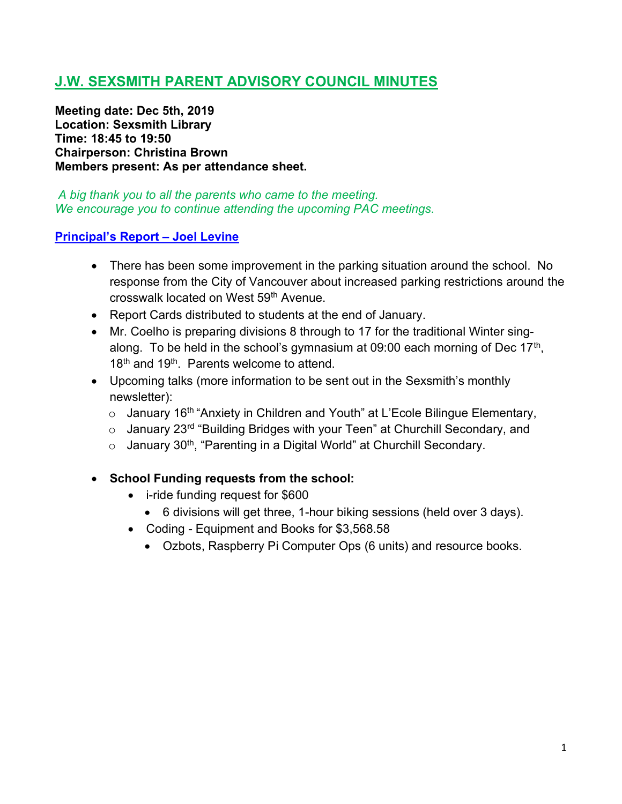# J.W. SEXSMITH PARENT ADVISORY COUNCIL MINUTES

Meeting date: Dec 5th, 2019 Location: Sexsmith Library Time: 18:45 to 19:50 Chairperson: Christina Brown Members present: As per attendance sheet.

A big thank you to all the parents who came to the meeting. We encourage you to continue attending the upcoming PAC meetings.

### Principal's Report – Joel Levine

- There has been some improvement in the parking situation around the school. No response from the City of Vancouver about increased parking restrictions around the crosswalk located on West 59th Avenue.
- Report Cards distributed to students at the end of January.
- Mr. Coelho is preparing divisions 8 through to 17 for the traditional Winter singalong. To be held in the school's gymnasium at 09:00 each morning of Dec 17<sup>th</sup>, 18<sup>th</sup> and 19<sup>th</sup>. Parents welcome to attend.
- Upcoming talks (more information to be sent out in the Sexsmith's monthly newsletter):
	- $\circ$  January 16<sup>th</sup> "Anxiety in Children and Youth" at L'Ecole Bilingue Elementary,
	- $\circ$  January 23<sup>rd</sup> "Building Bridges with your Teen" at Churchill Secondary, and
	- $\circ$  January 30<sup>th</sup>, "Parenting in a Digital World" at Churchill Secondary.
- School Funding requests from the school:
	- i-ride funding request for \$600
		- 6 divisions will get three, 1-hour biking sessions (held over 3 days).
	- Coding Equipment and Books for \$3,568.58
		- Ozbots, Raspberry Pi Computer Ops (6 units) and resource books.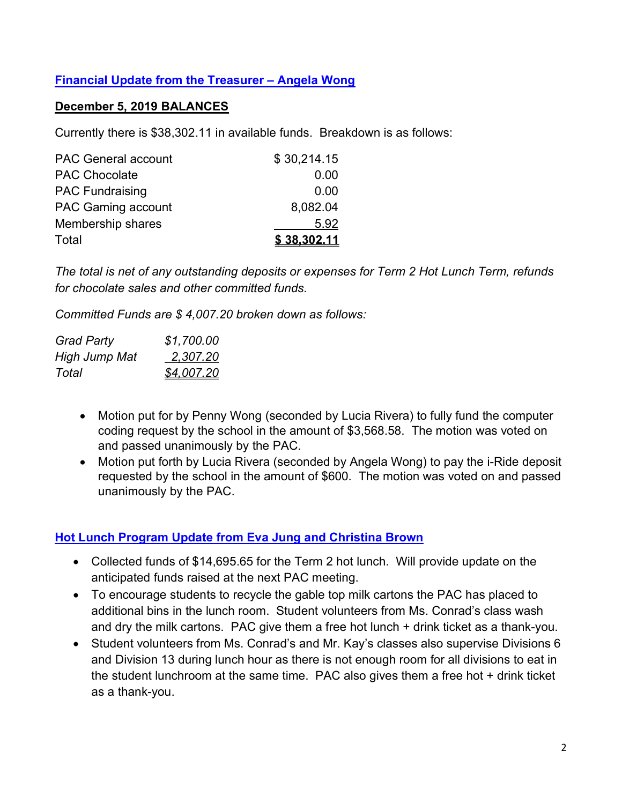## Financial Update from the Treasurer – Angela Wong

#### December 5, 2019 BALANCES

Currently there is \$38,302.11 in available funds. Breakdown is as follows:

| <b>PAC General account</b> | \$30,214.15 |
|----------------------------|-------------|
| <b>PAC Chocolate</b>       | 0.00        |
| <b>PAC Fundraising</b>     | 0.00        |
| <b>PAC Gaming account</b>  | 8,082.04    |
| Membership shares          | 5.92        |
| Total                      | \$38,302.11 |

The total is net of any outstanding deposits or expenses for Term 2 Hot Lunch Term, refunds for chocolate sales and other committed funds.

Committed Funds are \$ 4,007.20 broken down as follows:

| <b>Grad Party</b> | \$1,700.00 |
|-------------------|------------|
| High Jump Mat     | 2,307.20   |
| Total             | \$4,007.20 |

- Motion put for by Penny Wong (seconded by Lucia Rivera) to fully fund the computer coding request by the school in the amount of \$3,568.58. The motion was voted on and passed unanimously by the PAC.
- Motion put forth by Lucia Rivera (seconded by Angela Wong) to pay the i-Ride deposit requested by the school in the amount of \$600. The motion was voted on and passed unanimously by the PAC.

#### Hot Lunch Program Update from Eva Jung and Christina Brown

- Collected funds of \$14,695.65 for the Term 2 hot lunch. Will provide update on the anticipated funds raised at the next PAC meeting.
- To encourage students to recycle the gable top milk cartons the PAC has placed to additional bins in the lunch room. Student volunteers from Ms. Conrad's class wash and dry the milk cartons. PAC give them a free hot lunch + drink ticket as a thank-you.
- Student volunteers from Ms. Conrad's and Mr. Kay's classes also supervise Divisions 6 and Division 13 during lunch hour as there is not enough room for all divisions to eat in the student lunchroom at the same time. PAC also gives them a free hot + drink ticket as a thank-you.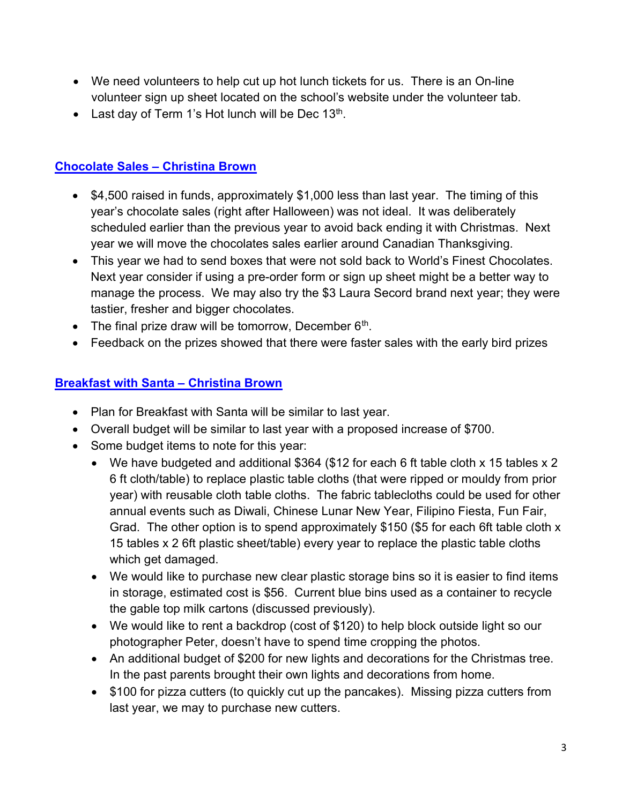- We need volunteers to help cut up hot lunch tickets for us. There is an On-line volunteer sign up sheet located on the school's website under the volunteer tab.
- Last day of Term 1's Hot lunch will be Dec  $13<sup>th</sup>$ .

## Chocolate Sales – Christina Brown

- \$4,500 raised in funds, approximately \$1,000 less than last year. The timing of this year's chocolate sales (right after Halloween) was not ideal. It was deliberately scheduled earlier than the previous year to avoid back ending it with Christmas. Next year we will move the chocolates sales earlier around Canadian Thanksgiving.
- This year we had to send boxes that were not sold back to World's Finest Chocolates. Next year consider if using a pre-order form or sign up sheet might be a better way to manage the process. We may also try the \$3 Laura Secord brand next year; they were tastier, fresher and bigger chocolates.
- The final prize draw will be tomorrow, December  $6<sup>th</sup>$ .
- Feedback on the prizes showed that there were faster sales with the early bird prizes

### Breakfast with Santa – Christina Brown

- Plan for Breakfast with Santa will be similar to last year.
- Overall budget will be similar to last year with a proposed increase of \$700.
- Some budget items to note for this year:
	- We have budgeted and additional \$364 (\$12 for each 6 ft table cloth x 15 tables x 2 6 ft cloth/table) to replace plastic table cloths (that were ripped or mouldy from prior year) with reusable cloth table cloths. The fabric tablecloths could be used for other annual events such as Diwali, Chinese Lunar New Year, Filipino Fiesta, Fun Fair, Grad. The other option is to spend approximately \$150 (\$5 for each 6ft table cloth x 15 tables x 2 6ft plastic sheet/table) every year to replace the plastic table cloths which get damaged.
	- We would like to purchase new clear plastic storage bins so it is easier to find items in storage, estimated cost is \$56. Current blue bins used as a container to recycle the gable top milk cartons (discussed previously).
	- We would like to rent a backdrop (cost of \$120) to help block outside light so our photographer Peter, doesn't have to spend time cropping the photos.
	- An additional budget of \$200 for new lights and decorations for the Christmas tree. In the past parents brought their own lights and decorations from home.
	- \$100 for pizza cutters (to quickly cut up the pancakes). Missing pizza cutters from last year, we may to purchase new cutters.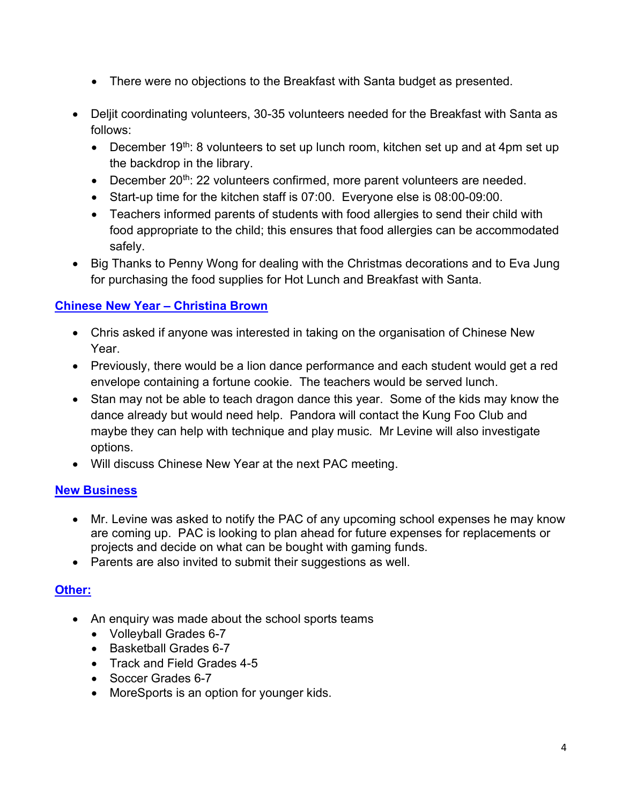- There were no objections to the Breakfast with Santa budget as presented.
- Deljit coordinating volunteers, 30-35 volunteers needed for the Breakfast with Santa as follows:
	- December  $19^{th}$ : 8 volunteers to set up lunch room, kitchen set up and at 4pm set up the backdrop in the library.
	- $\bullet$  December 20<sup>th</sup>: 22 volunteers confirmed, more parent volunteers are needed.
	- Start-up time for the kitchen staff is 07:00. Everyone else is 08:00-09:00.
	- Teachers informed parents of students with food allergies to send their child with food appropriate to the child; this ensures that food allergies can be accommodated safely.
- Big Thanks to Penny Wong for dealing with the Christmas decorations and to Eva Jung for purchasing the food supplies for Hot Lunch and Breakfast with Santa.

# Chinese New Year – Christina Brown

- Chris asked if anyone was interested in taking on the organisation of Chinese New Year.
- Previously, there would be a lion dance performance and each student would get a red envelope containing a fortune cookie. The teachers would be served lunch.
- Stan may not be able to teach dragon dance this year. Some of the kids may know the dance already but would need help. Pandora will contact the Kung Foo Club and maybe they can help with technique and play music. Mr Levine will also investigate options.
- Will discuss Chinese New Year at the next PAC meeting.

# **New Business**

- Mr. Levine was asked to notify the PAC of any upcoming school expenses he may know are coming up. PAC is looking to plan ahead for future expenses for replacements or projects and decide on what can be bought with gaming funds.
- Parents are also invited to submit their suggestions as well.

# Other:

- An enquiry was made about the school sports teams
	- Volleyball Grades 6-7
	- Basketball Grades 6-7
	- Track and Field Grades 4-5
	- Soccer Grades 6-7
	- MoreSports is an option for younger kids.